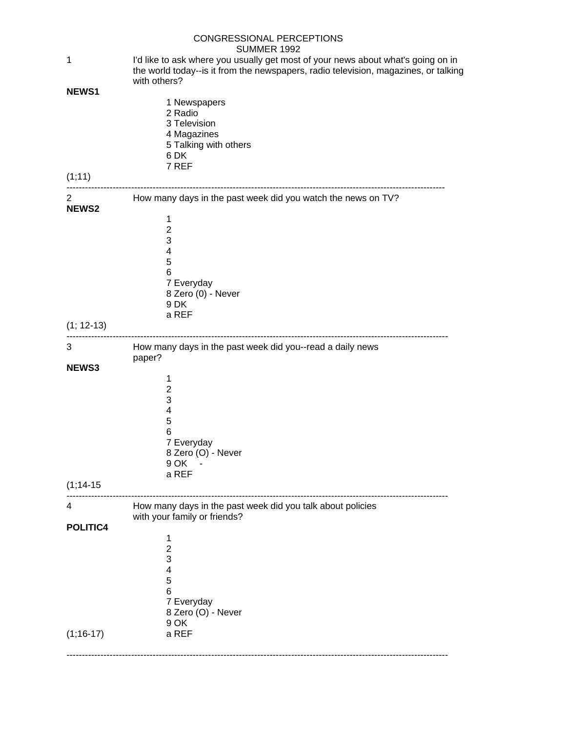|                                | CONGRESSIONAL PERCEPTIONS<br><b>SUMMER 1992</b>                                                                                                                                         |  |  |
|--------------------------------|-----------------------------------------------------------------------------------------------------------------------------------------------------------------------------------------|--|--|
| 1                              | I'd like to ask where you usually get most of your news about what's going on in<br>the world today--is it from the newspapers, radio television, magazines, or talking<br>with others? |  |  |
| <b>NEWS1</b><br>(1;11)         | 1 Newspapers<br>2 Radio<br>3 Television<br>4 Magazines<br>5 Talking with others<br>6 DK<br>7 REF                                                                                        |  |  |
|                                |                                                                                                                                                                                         |  |  |
| $\overline{2}$<br><b>NEWS2</b> | How many days in the past week did you watch the news on TV?<br>1<br>$\overline{2}$<br>3<br>4<br>5<br>6<br>7 Everyday<br>8 Zero (0) - Never<br>9 DK<br>a REF                            |  |  |
| $(1; 12-13)$                   |                                                                                                                                                                                         |  |  |
| 3                              | How many days in the past week did you--read a daily news<br>paper?                                                                                                                     |  |  |
| NEWS3                          | 1<br>$\overline{c}$<br>3<br>4<br>5<br>6<br>7 Everyday<br>8 Zero (O) - Never<br>9 OK<br>a REF                                                                                            |  |  |
| $(1, 14 - 15)$                 |                                                                                                                                                                                         |  |  |
| 4<br>POLITIC4                  | How many days in the past week did you talk about policies<br>with your family or friends?                                                                                              |  |  |
| $(1, 16 - 17)$                 | 1<br>$\overline{c}$<br>3<br>4<br>5<br>6<br>7 Everyday<br>8 Zero (O) - Never<br>9 OK<br>a REF                                                                                            |  |  |
|                                |                                                                                                                                                                                         |  |  |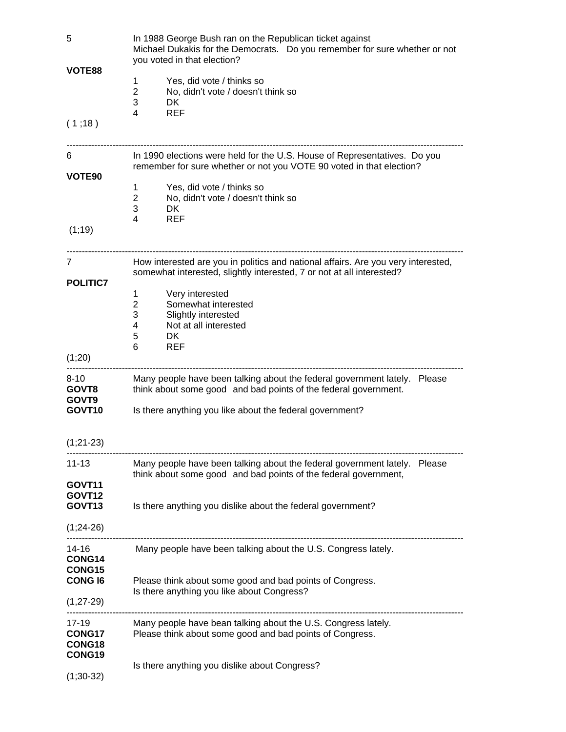| 5                  | In 1988 George Bush ran on the Republican ticket against<br>Michael Dukakis for the Democrats. Do you remember for sure whether or not<br>you voted in that election? |  |  |  |
|--------------------|-----------------------------------------------------------------------------------------------------------------------------------------------------------------------|--|--|--|
| VOTE88             | Yes, did vote / thinks so<br>1                                                                                                                                        |  |  |  |
|                    | $\overline{2}$<br>No, didn't vote / doesn't think so                                                                                                                  |  |  |  |
|                    | 3<br>DK.                                                                                                                                                              |  |  |  |
| (1;18)             | 4<br><b>REF</b>                                                                                                                                                       |  |  |  |
|                    |                                                                                                                                                                       |  |  |  |
| 6                  | In 1990 elections were held for the U.S. House of Representatives. Do you<br>remember for sure whether or not you VOTE 90 voted in that election?                     |  |  |  |
| VOTE <sub>90</sub> |                                                                                                                                                                       |  |  |  |
|                    | Yes, did vote / thinks so<br>1                                                                                                                                        |  |  |  |
|                    | 2<br>No, didn't vote / doesn't think so                                                                                                                               |  |  |  |
|                    | 3<br>DK.<br><b>REF</b><br>4                                                                                                                                           |  |  |  |
| (1, 19)            |                                                                                                                                                                       |  |  |  |
| 7                  | How interested are you in politics and national affairs. Are you very interested,<br>somewhat interested, slightly interested, 7 or not at all interested?            |  |  |  |
| <b>POLITIC7</b>    |                                                                                                                                                                       |  |  |  |
|                    | Very interested<br>1                                                                                                                                                  |  |  |  |
|                    | Somewhat interested<br>2                                                                                                                                              |  |  |  |
|                    | 3<br>Slightly interested                                                                                                                                              |  |  |  |
|                    | Not at all interested<br>4<br>5<br>DK.                                                                                                                                |  |  |  |
|                    | 6<br><b>REF</b>                                                                                                                                                       |  |  |  |
| (1;20)             |                                                                                                                                                                       |  |  |  |
| $8 - 10$<br>GOVT8  | Many people have been talking about the federal government lately. Please<br>think about some good and bad points of the federal government.                          |  |  |  |
| GOVT <sub>9</sub>  |                                                                                                                                                                       |  |  |  |
| GOVT <sub>10</sub> | Is there anything you like about the federal government?                                                                                                              |  |  |  |
| $(1;21-23)$        |                                                                                                                                                                       |  |  |  |
| 11-13              | Many people have been talking about the federal government lately. Please<br>think about some good and bad points of the federal government,                          |  |  |  |
| GOVT11             |                                                                                                                                                                       |  |  |  |
| GOVT <sub>12</sub> |                                                                                                                                                                       |  |  |  |
| GOVT <sub>13</sub> | Is there anything you dislike about the federal government?                                                                                                           |  |  |  |
| $(1;24-26)$        |                                                                                                                                                                       |  |  |  |
| 14-16<br>CONG14    | Many people have been talking about the U.S. Congress lately.                                                                                                         |  |  |  |
| CONG15             |                                                                                                                                                                       |  |  |  |
| <b>CONG 16</b>     | Please think about some good and bad points of Congress.                                                                                                              |  |  |  |
|                    | Is there anything you like about Congress?                                                                                                                            |  |  |  |
| $(1, 27 - 29)$     |                                                                                                                                                                       |  |  |  |
| 17-19              | Many people have bean talking about the U.S. Congress lately.                                                                                                         |  |  |  |
| CONG17             | Please think about some good and bad points of Congress.                                                                                                              |  |  |  |
| CONG18             |                                                                                                                                                                       |  |  |  |
| CONG19             |                                                                                                                                                                       |  |  |  |
| $(1;30-32)$        | Is there anything you dislike about Congress?                                                                                                                         |  |  |  |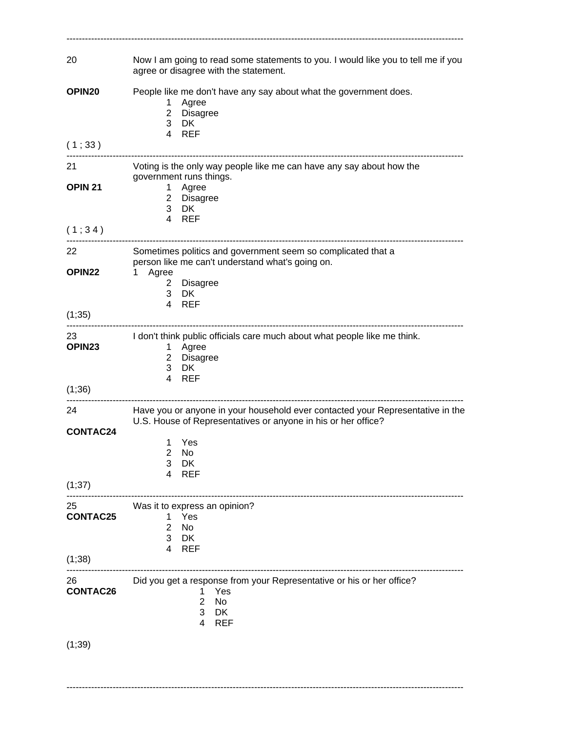| 20                                 | Now I am going to read some statements to you. I would like you to tell me if you<br>agree or disagree with the statement.                                                                            |
|------------------------------------|-------------------------------------------------------------------------------------------------------------------------------------------------------------------------------------------------------|
| OPIN <sub>20</sub>                 | People like me don't have any say about what the government does.<br>Agree<br>1.<br>2 Disagree<br>3 DK                                                                                                |
| (1;33)                             | 4 REF                                                                                                                                                                                                 |
| 21<br>OPIN <sub>21</sub>           | Voting is the only way people like me can have any say about how the<br>government runs things.<br>1 Agree<br>2 Disagree<br>3 DK<br>4 REF                                                             |
| (1;34)                             |                                                                                                                                                                                                       |
| 22<br><b>OPIN22</b>                | Sometimes politics and government seem so complicated that a<br>person like me can't understand what's going on.<br>1 Agree<br>2 Disagree<br>3 DK                                                     |
| (1,35)                             | 4 REF                                                                                                                                                                                                 |
| 23<br>OPIN <sub>23</sub><br>(1,36) | I don't think public officials care much about what people like me think.<br>Agree<br>1<br>2 Disagree<br>3 DK<br><b>REF</b><br>$\overline{4}$                                                         |
| 24.<br><b>CONTAC24</b>             | Have you or anyone in your household ever contacted your Representative in the<br>U.S. House of Representatives or anyone in his or her office?<br>Yes<br>1.<br>2<br>No<br>DK<br>3<br><b>REF</b><br>4 |
| (1;37)                             |                                                                                                                                                                                                       |
| 25<br><b>CONTAC25</b>              | Was it to express an opinion?<br>Yes<br>1.<br>$\overline{2}$<br>No<br>3<br><b>DK</b><br><b>REF</b><br>4                                                                                               |
| (1;38)                             |                                                                                                                                                                                                       |
| 26<br><b>CONTAC26</b>              | Did you get a response from your Representative or his or her office?<br>Yes<br>1<br>$\overline{2}$<br><b>No</b><br>3<br>DK<br><b>REF</b><br>4                                                        |
| (1;39)                             |                                                                                                                                                                                                       |

---------------------------------------------------------------------------------------------------------------------------------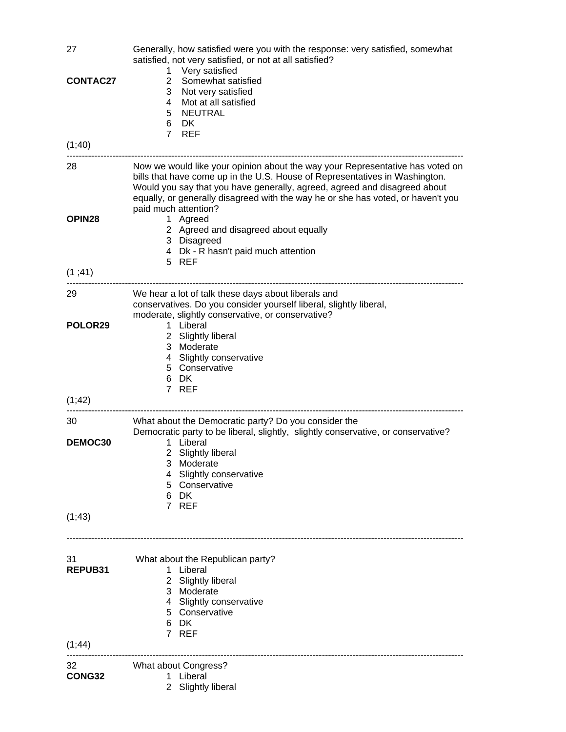| 27<br><b>CONTAC27</b><br>(1, 40) | Generally, how satisfied were you with the response: very satisfied, somewhat<br>satisfied, not very satisfied, or not at all satisfied?<br>Very satisfied<br>1<br>$\overline{2}$<br>Somewhat satisfied<br>3<br>Not very satisfied<br>Mot at all satisfied<br>4<br><b>NEUTRAL</b><br>5<br>6<br>DK.<br>7 REF                                                                                                                                                              |
|----------------------------------|--------------------------------------------------------------------------------------------------------------------------------------------------------------------------------------------------------------------------------------------------------------------------------------------------------------------------------------------------------------------------------------------------------------------------------------------------------------------------|
|                                  |                                                                                                                                                                                                                                                                                                                                                                                                                                                                          |
| 28<br>OPIN <sub>28</sub>         | Now we would like your opinion about the way your Representative has voted on<br>bills that have come up in the U.S. House of Representatives in Washington.<br>Would you say that you have generally, agreed, agreed and disagreed about<br>equally, or generally disagreed with the way he or she has voted, or haven't you<br>paid much attention?<br>1 Agreed<br>2 Agreed and disagreed about equally<br>3 Disagreed<br>4 Dk - R hasn't paid much attention<br>5 REF |
| (1, 41)                          |                                                                                                                                                                                                                                                                                                                                                                                                                                                                          |
| 29<br>POLOR29<br>(1, 42)         | We hear a lot of talk these days about liberals and<br>conservatives. Do you consider yourself liberal, slightly liberal,<br>moderate, slightly conservative, or conservative?<br>Liberal<br>1<br>2 Slightly liberal<br>3 Moderate<br>Slightly conservative<br>4<br>5 Conservative<br>6 DK<br>7 REF                                                                                                                                                                      |
| 30                               | What about the Democratic party? Do you consider the                                                                                                                                                                                                                                                                                                                                                                                                                     |
| DEMOC30                          | Democratic party to be liberal, slightly, slightly conservative, or conservative?<br>1 Liberal<br>2 Slightly liberal<br>Moderate<br>3<br><b>Slightly conservative</b><br>4<br>5 Conservative<br>6 DK                                                                                                                                                                                                                                                                     |
| (1, 43)                          | 7 REF                                                                                                                                                                                                                                                                                                                                                                                                                                                                    |
| 31<br>REPUB31                    | What about the Republican party?<br>1 Liberal<br>2 Slightly liberal<br>3 Moderate<br>4 Slightly conservative<br>5 Conservative<br>6 DK<br>7 REF                                                                                                                                                                                                                                                                                                                          |
| (1, 44)                          |                                                                                                                                                                                                                                                                                                                                                                                                                                                                          |
| 32<br>CONG32                     | What about Congress?<br>Liberal<br>1.<br>2 Slightly liberal                                                                                                                                                                                                                                                                                                                                                                                                              |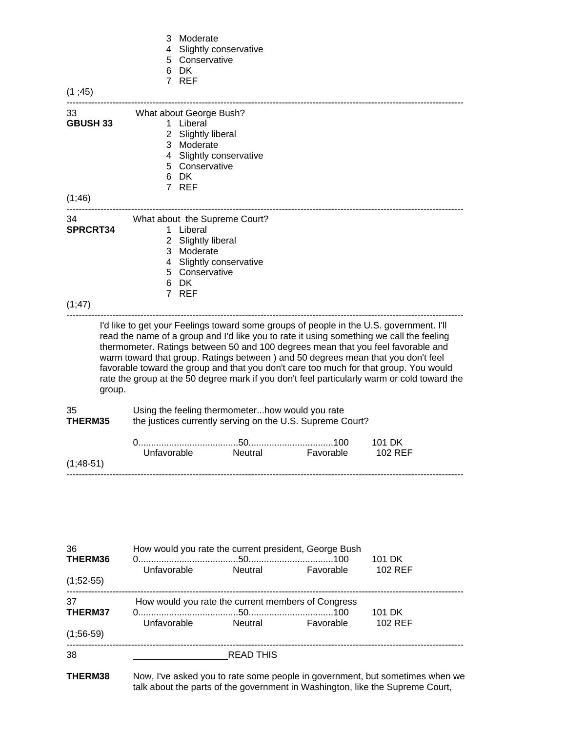| (1, 45)                   | 3<br>Moderate<br>Slightly conservative<br>4<br>5 Conservative<br>6 DK<br>7 REF                                                                                                                                                                                                                                                                                                                                                                                                                                                                       |
|---------------------------|------------------------------------------------------------------------------------------------------------------------------------------------------------------------------------------------------------------------------------------------------------------------------------------------------------------------------------------------------------------------------------------------------------------------------------------------------------------------------------------------------------------------------------------------------|
| 33<br><b>GBUSH 33</b>     | What about George Bush?<br>Liberal<br>1<br>2 Slightly liberal<br>3 Moderate<br>4 Slightly conservative<br>5 Conservative<br>6 DK<br>7 REF                                                                                                                                                                                                                                                                                                                                                                                                            |
| (1, 46)                   |                                                                                                                                                                                                                                                                                                                                                                                                                                                                                                                                                      |
| 34<br>SPRCRT34<br>(1, 47) | --------------------<br>What about the Supreme Court?<br>1 Liberal<br>2 Slightly liberal<br>3 Moderate<br>4 Slightly conservative<br>5 Conservative<br>6 DK<br>7 REF                                                                                                                                                                                                                                                                                                                                                                                 |
|                           | I'd like to get your Feelings toward some groups of people in the U.S. government. I'll<br>read the name of a group and I'd like you to rate it using something we call the feeling<br>thermometer. Ratings between 50 and 100 degrees mean that you feel favorable and<br>warm toward that group. Ratings between ) and 50 degrees mean that you don't feel<br>favorable toward the group and that you don't care too much for that group. You would<br>rate the group at the 50 degree mark if you don't feel particularly warm or cold toward the |

group.

35 Using the feeling thermometer...how would you rate **THERM35** the justices currently serving on the U.S. Supreme Court?

|             |             |         |           | 101 DK  |
|-------------|-------------|---------|-----------|---------|
| $(1:48-51)$ | Unfavorable | Neutral | Favorable | 102 RFF |
|             |             |         |           |         |

| 36<br>THERM36<br>$(1,52-55)$ | How would you rate the current president, George Bush<br>Unfavorable | Neutral          | Favorable | 101 DK<br><b>102 REF</b>                                                     |  |
|------------------------------|----------------------------------------------------------------------|------------------|-----------|------------------------------------------------------------------------------|--|
| 37<br>THERM37<br>$(1;56-59)$ | How would you rate the current members of Congress<br>Unfavorable    | Neutral          | Favorable | 101 DK<br>102 REF                                                            |  |
| 38<br>THERM38                |                                                                      | <b>READ THIS</b> |           | Now, I've asked you to rate some people in government, but sometimes when we |  |

talk about the parts of the government in Washington, like the Supreme Court,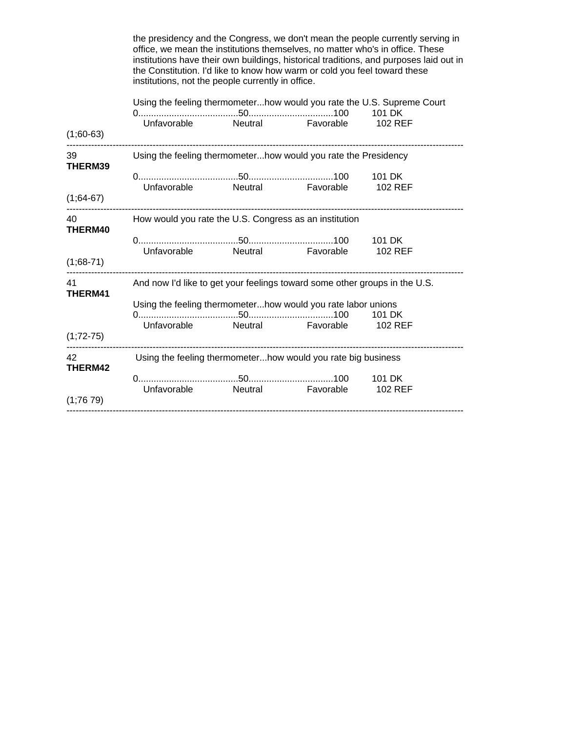|                                                                            | institutions have their own buildings, historical traditions, and purposes laid out in<br>the Constitution. I'd like to know how warm or cold you feel toward these<br>institutions, not the people currently in office. |  |  |                |  |
|----------------------------------------------------------------------------|--------------------------------------------------------------------------------------------------------------------------------------------------------------------------------------------------------------------------|--|--|----------------|--|
|                                                                            | Using the feeling thermometerhow would you rate the U.S. Supreme Court<br>Unfavorable Neutral Favorable                                                                                                                  |  |  | <b>102 REF</b> |  |
| $(1;60-63)$                                                                |                                                                                                                                                                                                                          |  |  |                |  |
| THERM39                                                                    | Using the feeling thermometerhow would you rate the Presidency                                                                                                                                                           |  |  |                |  |
|                                                                            | Unfavorable Neutral Favorable 102 REF                                                                                                                                                                                    |  |  |                |  |
| $(1,64-67)$                                                                |                                                                                                                                                                                                                          |  |  |                |  |
| 40 40<br>How would you rate the U.S. Congress as an institution<br>THERM40 |                                                                                                                                                                                                                          |  |  |                |  |
| $(1,68-71)$                                                                | Unfavorable Neutral Favorable 102 REF                                                                                                                                                                                    |  |  |                |  |
| 41 and $\sim$                                                              | And now I'd like to get your feelings toward some other groups in the U.S.                                                                                                                                               |  |  |                |  |
| THERM41                                                                    | Using the feeling thermometerhow would you rate labor unions                                                                                                                                                             |  |  |                |  |
| $(1;72-75)$                                                                | Unfavorable Neutral Favorable                                                                                                                                                                                            |  |  | <b>102 REF</b> |  |
| 42<br>THERM42                                                              | Using the feeling thermometerhow would you rate big business                                                                                                                                                             |  |  |                |  |
|                                                                            | Unfavorable Neutral Favorable 102 REF                                                                                                                                                                                    |  |  | 101 DK         |  |
| (1;7679)                                                                   |                                                                                                                                                                                                                          |  |  |                |  |

 the presidency and the Congress, we don't mean the people currently serving in office, we mean the institutions themselves, no matter who's in office. These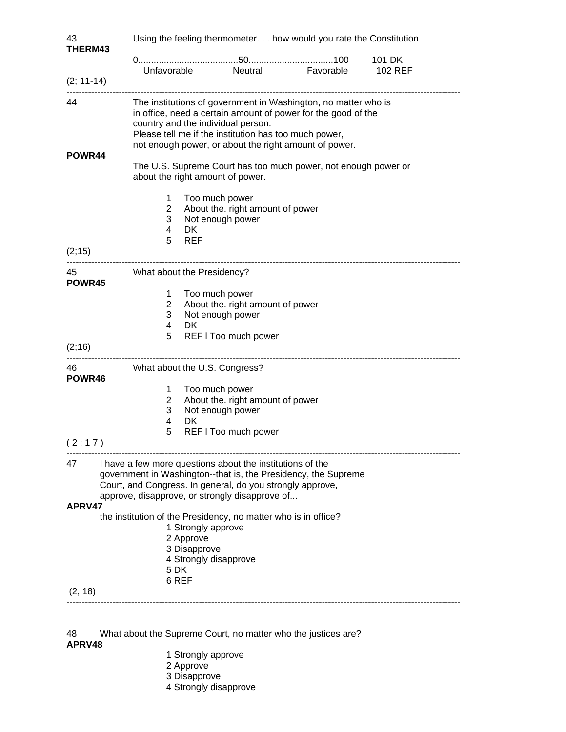| 43<br><b>THERM43</b> | Using the feeling thermometer. how would you rate the Constitution                                                                                                                                                                                                                      |                                                                                                                                                                                                                                            |  |  |
|----------------------|-----------------------------------------------------------------------------------------------------------------------------------------------------------------------------------------------------------------------------------------------------------------------------------------|--------------------------------------------------------------------------------------------------------------------------------------------------------------------------------------------------------------------------------------------|--|--|
|                      |                                                                                                                                                                                                                                                                                         |                                                                                                                                                                                                                                            |  |  |
| $(2; 11-14)$         |                                                                                                                                                                                                                                                                                         | Unfavorable Neutral Favorable 102 REF                                                                                                                                                                                                      |  |  |
| 44<br>POWR44         | The institutions of government in Washington, no matter who is<br>in office, need a certain amount of power for the good of the<br>country and the individual person.<br>Please tell me if the institution has too much power,<br>not enough power, or about the right amount of power. |                                                                                                                                                                                                                                            |  |  |
|                      |                                                                                                                                                                                                                                                                                         | The U.S. Supreme Court has too much power, not enough power or<br>about the right amount of power.                                                                                                                                         |  |  |
| (2, 15)              | 1.<br>$2^{\circ}$<br>3<br>$\overline{4}$<br>5 REF                                                                                                                                                                                                                                       | Too much power<br>About the. right amount of power<br>Not enough power<br>DK.                                                                                                                                                              |  |  |
| POWR45               |                                                                                                                                                                                                                                                                                         | What about the Presidency?                                                                                                                                                                                                                 |  |  |
| (2,16)               | $1 \quad$<br>$2^{\circ}$<br>3<br>$\overline{4}$<br>5                                                                                                                                                                                                                                    | Too much power<br>About the. right amount of power<br>Not enough power<br><b>DK</b><br>REF I Too much power                                                                                                                                |  |  |
| POWR46               |                                                                                                                                                                                                                                                                                         | What about the U.S. Congress?                                                                                                                                                                                                              |  |  |
| (2;17)               | 1<br>$\overline{2}$<br>3<br>$\overline{4}$<br>5                                                                                                                                                                                                                                         | Too much power<br>About the. right amount of power<br>Not enough power<br>DK<br>REF I Too much power                                                                                                                                       |  |  |
| 47<br>APRV47         |                                                                                                                                                                                                                                                                                         | I have a few more questions about the institutions of the<br>government in Washington--that is, the Presidency, the Supreme<br>Court, and Congress. In general, do you strongly approve,<br>approve, disapprove, or strongly disapprove of |  |  |
|                      | the institution of the Presidency, no matter who is in office?<br>1 Strongly approve<br>2 Approve<br>3 Disapprove<br>4 Strongly disapprove<br>5 DK<br>6 REF                                                                                                                             |                                                                                                                                                                                                                                            |  |  |
| (2; 18)              |                                                                                                                                                                                                                                                                                         |                                                                                                                                                                                                                                            |  |  |

48 What about the Supreme Court, no matter who the justices are?

# **APRV48**

- 1 Strongly approve
- 2 Approve
- 3 Disapprove
- 4 Strongly disapprove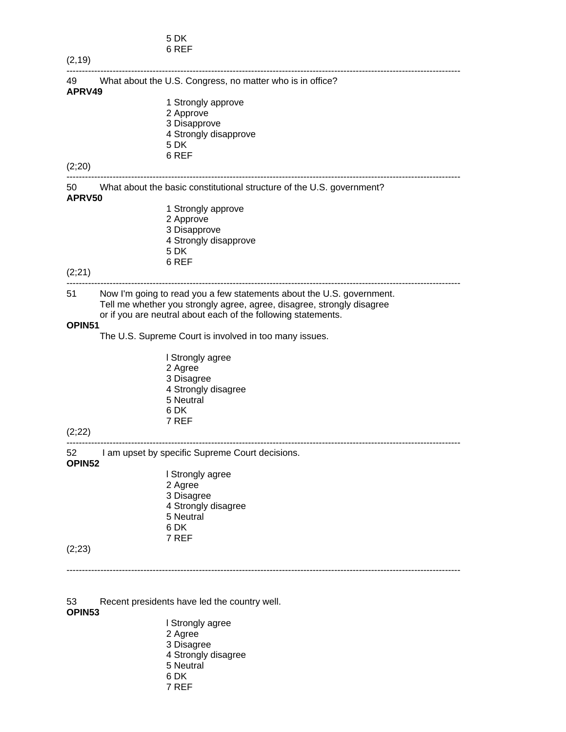| 5 DK  |
|-------|
| 6 REF |

| (2, 19)      |                                                                                                                                                                                                                                                                            |
|--------------|----------------------------------------------------------------------------------------------------------------------------------------------------------------------------------------------------------------------------------------------------------------------------|
| 49           | What about the U.S. Congress, no matter who is in office?                                                                                                                                                                                                                  |
| APRV49       |                                                                                                                                                                                                                                                                            |
|              | 1 Strongly approve                                                                                                                                                                                                                                                         |
|              | 2 Approve                                                                                                                                                                                                                                                                  |
|              | 3 Disapprove                                                                                                                                                                                                                                                               |
|              | 4 Strongly disapprove                                                                                                                                                                                                                                                      |
|              | 5 DK                                                                                                                                                                                                                                                                       |
|              | 6 REF                                                                                                                                                                                                                                                                      |
| (2;20)       |                                                                                                                                                                                                                                                                            |
| 50<br>APRV50 | What about the basic constitutional structure of the U.S. government?                                                                                                                                                                                                      |
|              | 1 Strongly approve                                                                                                                                                                                                                                                         |
|              | 2 Approve                                                                                                                                                                                                                                                                  |
|              | 3 Disapprove                                                                                                                                                                                                                                                               |
|              | 4 Strongly disapprove                                                                                                                                                                                                                                                      |
|              | 5 DK                                                                                                                                                                                                                                                                       |
|              | 6 REF                                                                                                                                                                                                                                                                      |
| (2;21)       |                                                                                                                                                                                                                                                                            |
| 51<br>OPIN51 | Now I'm going to read you a few statements about the U.S. government.<br>Tell me whether you strongly agree, agree, disagree, strongly disagree<br>or if you are neutral about each of the following statements.<br>The U.S. Supreme Court is involved in too many issues. |
|              | I Strongly agree                                                                                                                                                                                                                                                           |
|              | 2 Agree                                                                                                                                                                                                                                                                    |
|              | 3 Disagree                                                                                                                                                                                                                                                                 |
|              | 4 Strongly disagree                                                                                                                                                                                                                                                        |
|              | 5 Neutral                                                                                                                                                                                                                                                                  |
|              | 6 DK                                                                                                                                                                                                                                                                       |
|              | 7 REF                                                                                                                                                                                                                                                                      |
| (2;22)       |                                                                                                                                                                                                                                                                            |
| 52<br>OPIN52 | I am upset by specific Supreme Court decisions.                                                                                                                                                                                                                            |
|              | I Strongly agree                                                                                                                                                                                                                                                           |
|              | 2 Agree                                                                                                                                                                                                                                                                    |
|              | 3 Disagree                                                                                                                                                                                                                                                                 |
|              | 4 Strongly disagree                                                                                                                                                                                                                                                        |
|              | 5 Neutral                                                                                                                                                                                                                                                                  |
|              | 6 DK                                                                                                                                                                                                                                                                       |
|              | 7 REF                                                                                                                                                                                                                                                                      |
| (2;23)       |                                                                                                                                                                                                                                                                            |
|              |                                                                                                                                                                                                                                                                            |
|              |                                                                                                                                                                                                                                                                            |
|              |                                                                                                                                                                                                                                                                            |
|              |                                                                                                                                                                                                                                                                            |

53 Recent presidents have led the country well. **OPIN53**

**l** Strongly agree 2 Agree 3 Disagree 4 Strongly disagree **5 Neutral**  6 DK 7 REF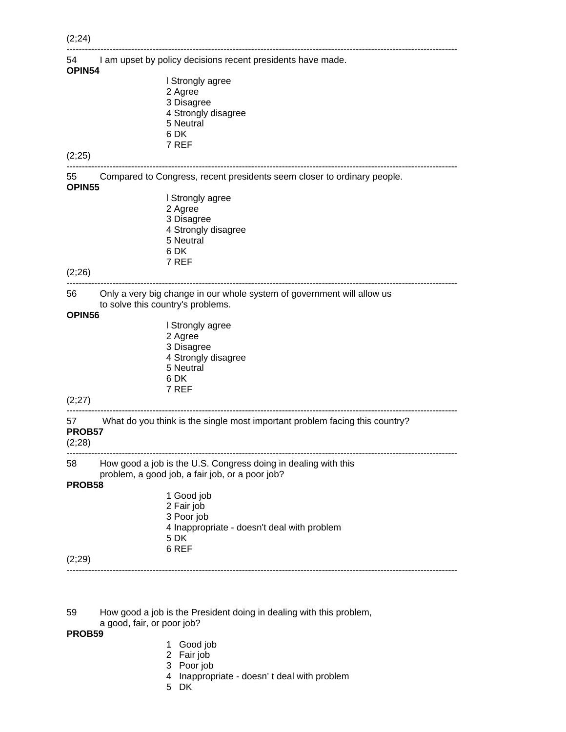| (2,24)       |                                                                                                             |
|--------------|-------------------------------------------------------------------------------------------------------------|
| 54<br>OPIN54 | I am upset by policy decisions recent presidents have made.                                                 |
|              | I Strongly agree                                                                                            |
|              | 2 Agree                                                                                                     |
|              | 3 Disagree                                                                                                  |
|              | 4 Strongly disagree                                                                                         |
|              | 5 Neutral                                                                                                   |
|              | 6 DK                                                                                                        |
|              | 7 REF                                                                                                       |
| (2;25)       |                                                                                                             |
| 55<br>OPIN55 | Compared to Congress, recent presidents seem closer to ordinary people.                                     |
|              | I Strongly agree                                                                                            |
|              | 2 Agree                                                                                                     |
|              | 3 Disagree                                                                                                  |
|              | 4 Strongly disagree                                                                                         |
|              | 5 Neutral                                                                                                   |
|              | 6 DK                                                                                                        |
|              | 7 REF                                                                                                       |
| (2;26)       |                                                                                                             |
| 56           | Only a very big change in our whole system of government will allow us<br>to solve this country's problems. |
| OPIN56       |                                                                                                             |
|              | I Strongly agree                                                                                            |
|              | 2 Agree                                                                                                     |
|              | 3 Disagree                                                                                                  |
|              | 4 Strongly disagree                                                                                         |
|              | 5 Neutral                                                                                                   |
|              | 6 DK<br>7 REF                                                                                               |
| (2;27)       |                                                                                                             |
|              |                                                                                                             |
| 57 —         | What do you think is the single most important problem facing this country?                                 |
| PROB57       |                                                                                                             |
| (2;28)       |                                                                                                             |
| 58           | How good a job is the U.S. Congress doing in dealing with this                                              |
|              | problem, a good job, a fair job, or a poor job?                                                             |
| PROB58       |                                                                                                             |
|              | 1 Good job                                                                                                  |
|              | 2 Fair job                                                                                                  |
|              | 3 Poor job                                                                                                  |
|              | 4 Inappropriate - doesn't deal with problem<br>5 DK                                                         |
|              |                                                                                                             |

(2;29)

59 How good a job is the President doing in dealing with this problem,

### a good, fair, or poor job?

# **PROB59**

- 1 Good job
- 2 Fair job
- 3 Poor job
- 4 Inappropriate doesn' t deal with problem

-------------------------------------------------------------------------------------------------------------------------------

5 DK

6 REF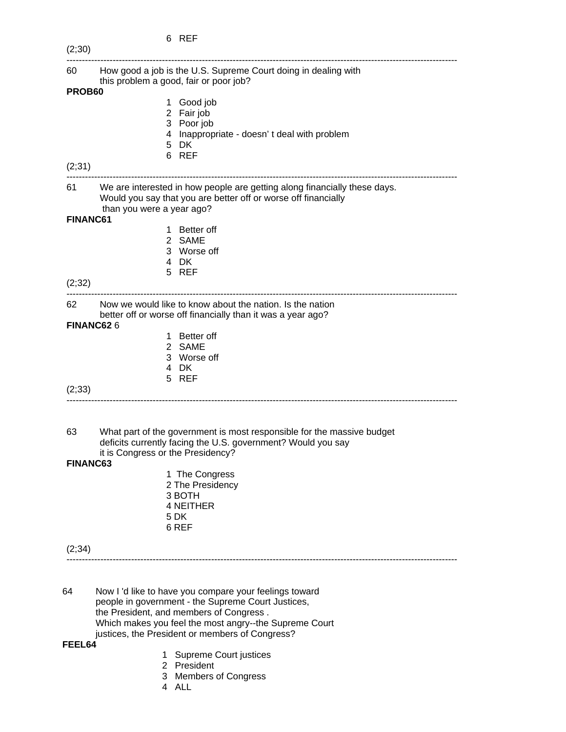|                 | 6 REF                                                                                                                                                                    |
|-----------------|--------------------------------------------------------------------------------------------------------------------------------------------------------------------------|
| (2;30)          |                                                                                                                                                                          |
| 60 —            | How good a job is the U.S. Supreme Court doing in dealing with<br>this problem a good, fair or poor job?                                                                 |
| PROB60          |                                                                                                                                                                          |
|                 | 1 Good job<br>2 Fair job                                                                                                                                                 |
|                 | 3 Poor job                                                                                                                                                               |
|                 | 4 Inappropriate - doesn't deal with problem                                                                                                                              |
|                 | 5 DK                                                                                                                                                                     |
|                 | 6 REF                                                                                                                                                                    |
| (2;31)          |                                                                                                                                                                          |
| 61              | We are interested in how people are getting along financially these days.<br>Would you say that you are better off or worse off financially<br>than you were a year ago? |
| <b>FINANC61</b> |                                                                                                                                                                          |
|                 | 1 Better off                                                                                                                                                             |
|                 | 2 SAME                                                                                                                                                                   |
|                 | 3 Worse off                                                                                                                                                              |
|                 | 4 DK                                                                                                                                                                     |
| (2;32)          | 5 REF                                                                                                                                                                    |
|                 |                                                                                                                                                                          |
| 62              | Now we would like to know about the nation. Is the nation<br>better off or worse off financially than it was a year ago?                                                 |
|                 | FINANC626                                                                                                                                                                |
|                 | <b>Better off</b><br>1.                                                                                                                                                  |
|                 | 2 SAME                                                                                                                                                                   |
|                 | 3 Worse off                                                                                                                                                              |
|                 | 4 DK<br>5 REF                                                                                                                                                            |
| (2, 33)         |                                                                                                                                                                          |
|                 |                                                                                                                                                                          |
|                 |                                                                                                                                                                          |
| 63              | What part of the government is most responsible for the massive budget<br>deficits currently facing the U.S. government? Would you say                                   |
|                 | it is Congress or the Presidency?                                                                                                                                        |
| <b>FINANC63</b> |                                                                                                                                                                          |
|                 | 1 The Congress                                                                                                                                                           |
|                 | 2 The Presidency                                                                                                                                                         |
|                 | 3 BOTH                                                                                                                                                                   |
|                 | <b>4 NEITHER</b><br>5 DK                                                                                                                                                 |
|                 | 6 REF                                                                                                                                                                    |
|                 |                                                                                                                                                                          |
| (2, 34)         |                                                                                                                                                                          |
|                 |                                                                                                                                                                          |
|                 |                                                                                                                                                                          |
| 64              | Now I'd like to have you compare your feelings toward                                                                                                                    |
|                 | people in government - the Supreme Court Justices,<br>the President, and members of Congress.                                                                            |
|                 |                                                                                                                                                                          |

 justices, the President or members of Congress? **FEEL64**

- 1 Supreme Court justices
- 2 President

Which makes you feel the most angry--the Supreme Court

- 3 Members of Congress
- 4 ALL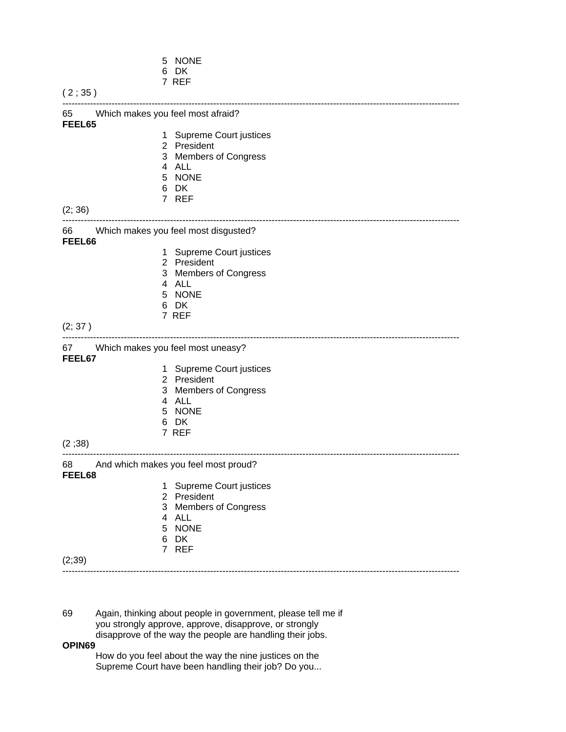|                                                   | 5 NONE<br>6 DK                                                                                                                           |
|---------------------------------------------------|------------------------------------------------------------------------------------------------------------------------------------------|
| (2;35)                                            | 7 REF                                                                                                                                    |
| 65 Which makes you feel most afraid?<br>FEEL65    |                                                                                                                                          |
| (2; 36)                                           | 1 Supreme Court justices<br>2 President<br>3 Members of Congress<br>4 ALL<br>5 NONE<br>6 DK<br>7 REF<br>-------------------------------  |
| 66 Which makes you feel most disgusted?<br>FEEL66 |                                                                                                                                          |
|                                                   | 1 Supreme Court justices<br>2 President<br>3 Members of Congress<br>4 ALL<br>5 NONE<br>6 DK<br>7 REF                                     |
| (2; 37)                                           |                                                                                                                                          |
| 67 Which makes you feel most uneasy?<br>FEEL67    |                                                                                                                                          |
| (2;38)                                            | 1 Supreme Court justices<br>2 President<br>3 Members of Congress<br>4 ALL<br>5 NONE<br>6 DK<br>7 REF<br>-------------------------------- |
| 68<br>FEEL68                                      | And which makes you feel most proud?                                                                                                     |
| (2;39)                                            | 1 Supreme Court justices<br>2 President<br>3 Members of Congress<br>4 ALL<br>5 NONE<br>6 DK<br>7 REF                                     |

69 Again, thinking about people in government, please tell me if you strongly approve, approve, disapprove, or strongly disapprove of the way the people are handling their jobs.

#### **OPIN69**

 How do you feel about the way the nine justices on the Supreme Court have been handling their job? Do you...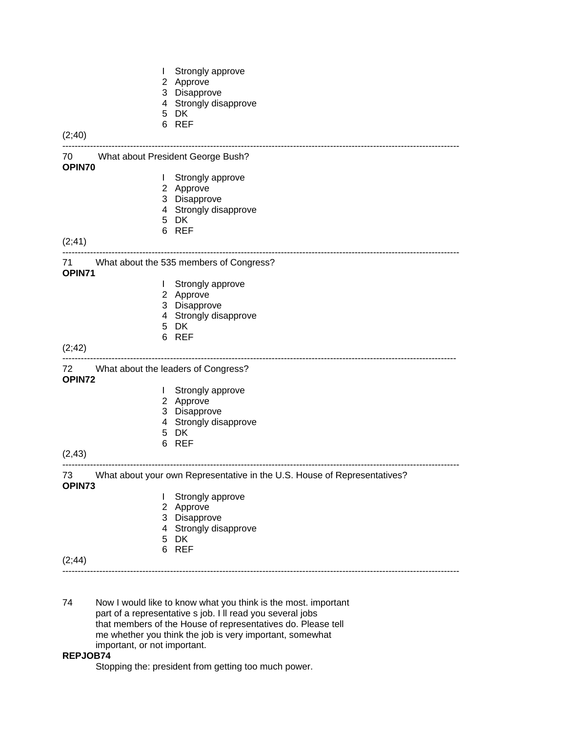- I Strongly approve
- 2 Approve
- 3 Disapprove
- 4 Strongly disapprove
- 5 DK
- 6 REF

```
(2;40)
```
--------------------------------------------------------------------------------------------------------------------------------- 70 What about President George Bush? **OPIN70** I Strongly approve 2 Approve 3 Disapprove 4 Strongly disapprove

---------------------------------------------------------------------------------------------------------------------------------

- 5 DK
- 6 REF

(2;41)

71 What about the 535 members of Congress?

**OPIN71**

- I Strongly approve
- 2 Approve
- 3 Disapprove
- 4 Strongly disapprove
- 5 DK
- 6 REF

#### (2;42)

# --------------------------------------------------------------------------------------------------------------------------------

72 What about the leaders of Congress?

# **OPIN72**

- **I** Strongly approve
- 2 Approve
	- 3 Disapprove
	- 4 Strongly disapprove
	- 5 DK
	- 6 REF

### (2,43)

--------------------------------------------------------------------------------------------------------------------------------- 73 What about your own Representative in the U.S. House of Representatives?

# **OPIN73**

- I Strongly approve
- 2 Approve
- 3 Disapprove
- 4 Strongly disapprove
- 5 DK
- 6 REF

(2;44)

- ---------------------------------------------------------------------------------------------------------------------------------
- 74 Now I would like to know what you think is the most. important part of a representative s job. I ll read you several jobs that members of the House of representatives do. Please tell me whether you think the job is very important, somewhat important, or not important.

# **REPJOB74**

Stopping the: president from getting too much power.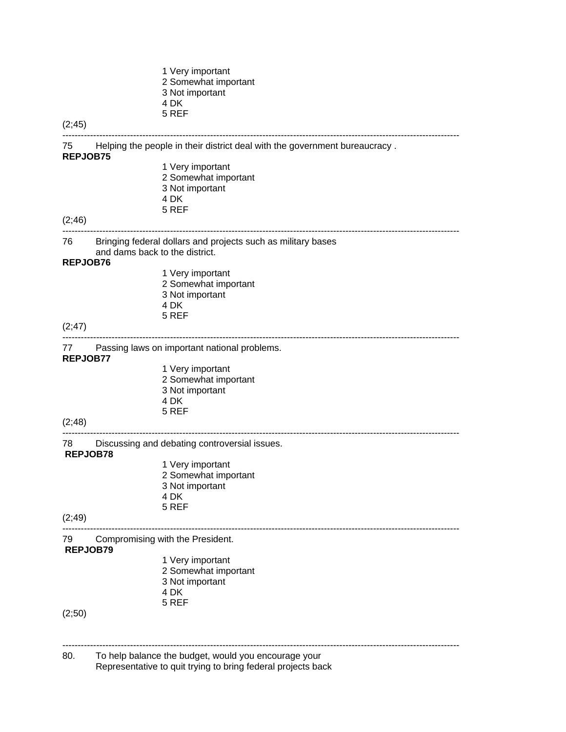|                 |                                | 1 Very important<br>2 Somewhat important<br>3 Not important<br>4 DK<br>5 REF  |
|-----------------|--------------------------------|-------------------------------------------------------------------------------|
| (2; 45)         |                                |                                                                               |
| <b>REPJOB75</b> |                                | 75 Helping the people in their district deal with the government bureaucracy. |
|                 |                                | 1 Very important<br>2 Somewhat important                                      |
|                 |                                | 3 Not important                                                               |
|                 |                                | 4 DK                                                                          |
|                 |                                | 5 REF                                                                         |
| (2, 46)         |                                |                                                                               |
| 76 —            | and dams back to the district. | Bringing federal dollars and projects such as military bases                  |
| REPJOB76        |                                | 1 Very important                                                              |
|                 |                                | 2 Somewhat important                                                          |
|                 |                                | 3 Not important                                                               |
|                 |                                | 4 DK                                                                          |
| (2; 47)         |                                | 5 REF                                                                         |
| REPJOB77        |                                | 77 Passing laws on important national problems.                               |
|                 |                                | 1 Very important                                                              |
|                 |                                | 2 Somewhat important                                                          |
|                 |                                | 3 Not important                                                               |
|                 |                                | 4 DK<br>5 REF                                                                 |
| (2;48)          |                                |                                                                               |
| <b>REPJOB78</b> |                                | 78 Discussing and debating controversial issues.                              |
|                 |                                | 1 Very important                                                              |
|                 |                                | 2 Somewhat important                                                          |
|                 |                                | 3 Not important<br>4 DK                                                       |
|                 |                                | 5 REF                                                                         |
| (2; 49)         |                                |                                                                               |
| 79<br>REPJOB79  |                                | Compromising with the President.                                              |
|                 |                                | 1 Very important                                                              |
|                 |                                | 2 Somewhat important                                                          |
|                 |                                | 3 Not important<br>4 DK                                                       |
|                 |                                | 5 REF                                                                         |
| (2;50)          |                                |                                                                               |
| 80.             |                                | To help balance the budget, would you encourage your                          |
|                 |                                | Representative to quit trying to bring federal projects back                  |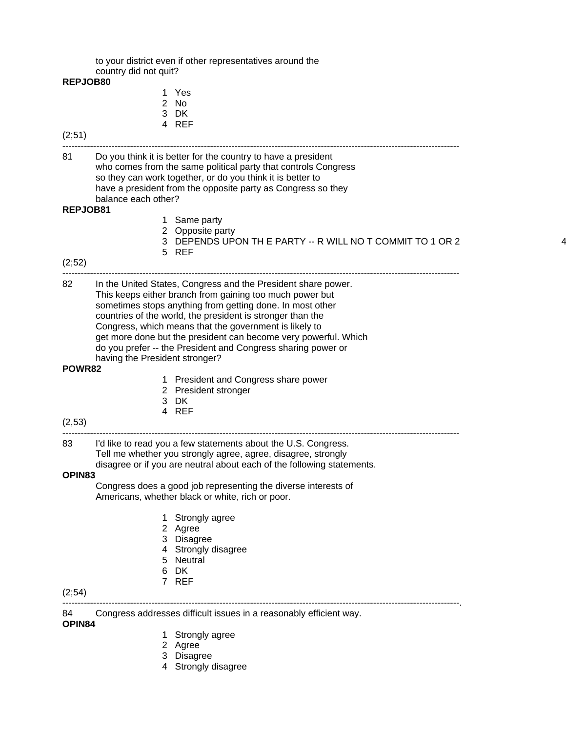to your district even if other representatives around the country did not quit?

#### **REPJOB80**

- 1 Yes 2 No
- 3 DK
- 4 REF

# (2;51)

81 Do you think it is better for the country to have a president who comes from the same political party that controls Congress so they can work together, or do you think it is better to have a president from the opposite party as Congress so they balance each other?

---------------------------------------------------------------------------------------------------------------------------------

### **REPJOB81**

- 1 Same party
- 2 Opposite party
- 3 DEPENDS UPON TH E PARTY -- R WILL NO T COMMIT TO 1 OR 2 4

---------------------------------------------------------------------------------------------------------------------------------

5 REF

#### (2;52)

82 In the United States, Congress and the President share power. This keeps either branch from gaining too much power but sometimes stops anything from getting done. In most other countries of the world, the president is stronger than the Congress, which means that the government is likely to get more done but the president can become very powerful. Which do you prefer -- the President and Congress sharing power or having the President stronger?

### **POWR82**

- 1 President and Congress share power
- 2 President stronger
- 3 DK
- 4 REF

### (2,53)

#### --------------------------------------------------------------------------------------------------------------------------------- 83 I'd like to read you a few statements about the U.S. Congress.

Tell me whether you strongly agree, agree, disagree, strongly

disagree or if you are neutral about each of the following statements.

# **OPIN83**

 Congress does a good job representing the diverse interests of Americans, whether black or white, rich or poor.

- 1 Strongly agree
- 2 Agree
- 3 Disagree
- 4 Strongly disagree
- 5 Neutral
- 6 DK
- 7 REF

### (2;54)

---------------------------------------------------------------------------------------------------------------------------------.

84 Congress addresses difficult issues in a reasonably efficient way.

# **OPIN84**

- 1 Strongly agree
- 2 Agree
- 3 Disagree
- 4 Strongly disagree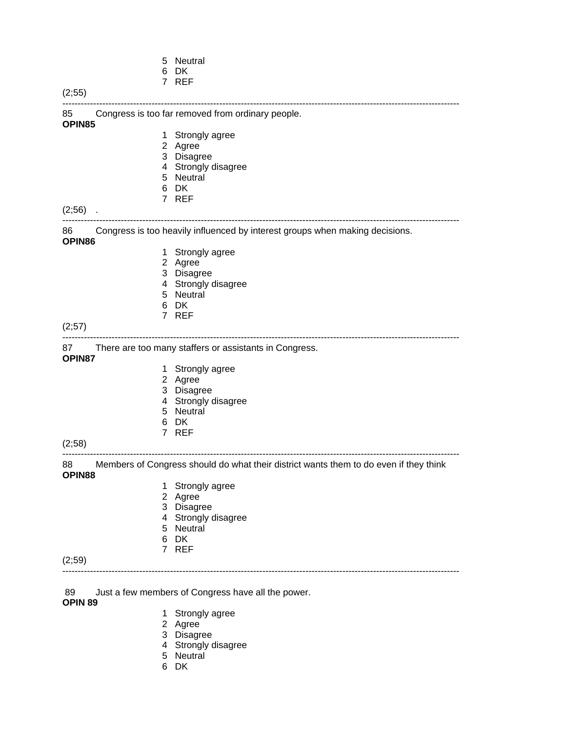|               | 5 | Neutral                                                                               |
|---------------|---|---------------------------------------------------------------------------------------|
|               | 6 | DK.<br>7 REF                                                                          |
| (2;55)        |   |                                                                                       |
|               |   |                                                                                       |
| 85<br>OPIN85  |   | Congress is too far removed from ordinary people.                                     |
|               |   | 1 Strongly agree                                                                      |
|               |   | 2 Agree                                                                               |
|               |   | 3 Disagree                                                                            |
|               |   | 4 Strongly disagree                                                                   |
|               |   | 5 Neutral                                                                             |
|               | 6 | DK                                                                                    |
|               |   | 7 REF                                                                                 |
| (2,56)        |   |                                                                                       |
| 86<br>OPIN86  |   | Congress is too heavily influenced by interest groups when making decisions.          |
|               |   | 1 Strongly agree                                                                      |
|               |   | 2 Agree                                                                               |
|               |   | 3 Disagree                                                                            |
|               |   | 4 Strongly disagree                                                                   |
|               | 5 | Neutral                                                                               |
|               | 6 | DK                                                                                    |
|               |   | 7 REF                                                                                 |
| (2;57)        |   |                                                                                       |
| 87            |   | There are too many staffers or assistants in Congress.                                |
| OPIN87        |   |                                                                                       |
|               |   | 1 Strongly agree                                                                      |
|               |   | 2 Agree                                                                               |
|               |   | 3 Disagree                                                                            |
|               |   | 4 Strongly disagree                                                                   |
|               |   | 5 Neutral                                                                             |
|               | 6 | DK<br>7 REF                                                                           |
| (2;58)        |   |                                                                                       |
|               |   |                                                                                       |
| 88<br>OPIN88  |   | Members of Congress should do what their district wants them to do even if they think |
|               | 1 | Strongly agree                                                                        |
|               |   | 2 Agree                                                                               |
|               |   | 3 Disagree                                                                            |
|               |   | 4 Strongly disagree                                                                   |
|               |   | 5 Neutral                                                                             |
|               | 6 | DK                                                                                    |
|               |   | 7 REF                                                                                 |
| (2;59)        |   |                                                                                       |
|               |   |                                                                                       |
|               |   |                                                                                       |
| 89<br>OPIN 89 |   | Just a few members of Congress have all the power.                                    |

- 
- **1** Strongly agree
- 2 Agree
- 3 Disagree
- 4 Strongly disagree
- **5** Neutral
- 6 DK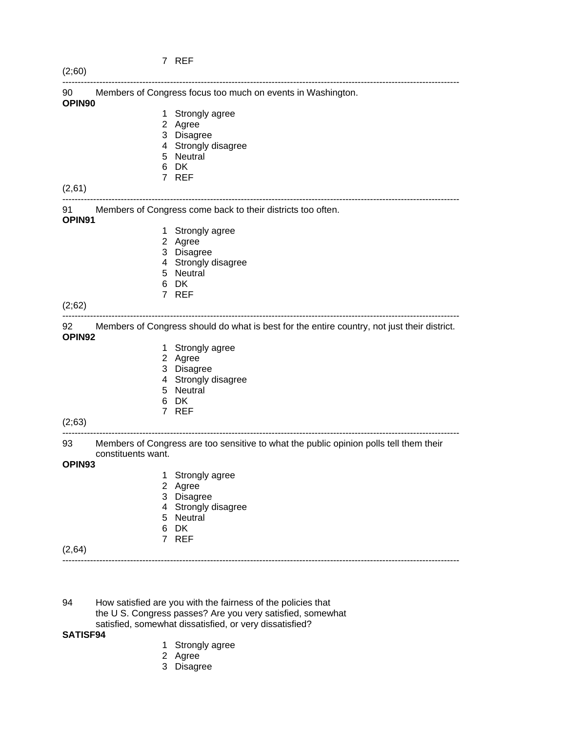| (2;60)                     |                    |                                                                                             |
|----------------------------|--------------------|---------------------------------------------------------------------------------------------|
| 90<br>OPIN90               |                    | Members of Congress focus too much on events in Washington.                                 |
|                            |                    | 1 Strongly agree                                                                            |
|                            |                    | 2 Agree                                                                                     |
|                            |                    | 3 Disagree                                                                                  |
|                            |                    | 4 Strongly disagree                                                                         |
|                            |                    | 5 Neutral                                                                                   |
|                            |                    | 6 DK<br>7 REF                                                                               |
| (2,61)                     |                    |                                                                                             |
| 91 -<br>OPIN <sub>91</sub> |                    | Members of Congress come back to their districts too often.                                 |
|                            |                    | 1 Strongly agree                                                                            |
|                            |                    | 2 Agree                                                                                     |
|                            |                    | 3 Disagree                                                                                  |
|                            |                    | 4 Strongly disagree                                                                         |
|                            |                    | 5 Neutral                                                                                   |
|                            |                    | 6 DK                                                                                        |
|                            |                    | 7 REF                                                                                       |
| (2;62)                     |                    |                                                                                             |
| 92<br>OPIN92               |                    | Members of Congress should do what is best for the entire country, not just their district. |
|                            |                    | 1 Strongly agree                                                                            |
|                            |                    | 2 Agree                                                                                     |
|                            |                    | 3 Disagree                                                                                  |
|                            |                    | 4 Strongly disagree                                                                         |
|                            |                    | 5 Neutral                                                                                   |
|                            |                    | 6 DK<br>7 REF                                                                               |
| (2,63)                     |                    |                                                                                             |
| 93                         |                    | Members of Congress are too sensitive to what the public opinion polls tell them their      |
|                            | constituents want. |                                                                                             |
| OPIN93                     |                    |                                                                                             |
|                            |                    | 1 Strongly agree<br>2 Agree                                                                 |
|                            |                    | 3 Disagree                                                                                  |
|                            |                    | 4 Strongly disagree                                                                         |
|                            |                    | 5 Neutral                                                                                   |
|                            | 6                  | DK                                                                                          |
|                            | $\overline{7}$     | <b>REF</b>                                                                                  |

(2,64) ---------------------------------------------------------------------------------------------------------------------------------

94 How satisfied are you with the fairness of the policies that the U S. Congress passes? Are you very satisfied, somewhat satisfied, somewhat dissatisfied, or very dissatisfied?

#### **SATISF94**

- 1 Strongly agree
- 2 Agree

7 REF

3 Disagree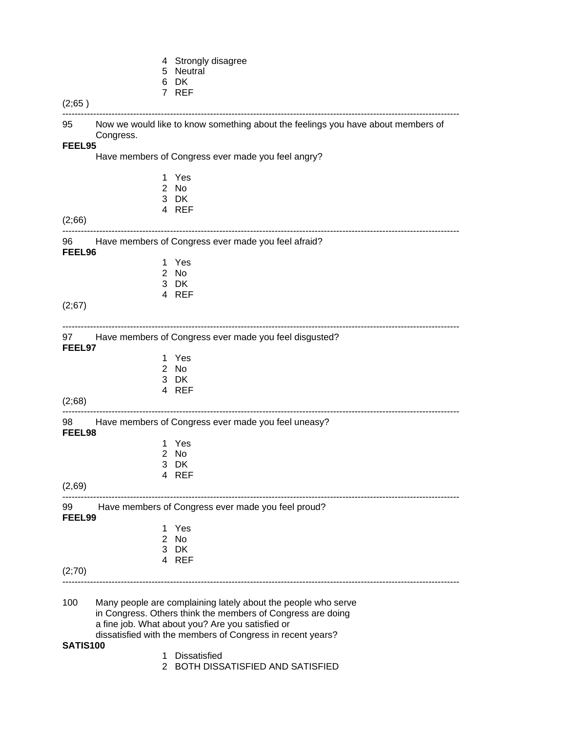|  | 4 Strongly disagree |
|--|---------------------|
|--|---------------------|

- 5 Neutral
- 6 DK

|                 |           | 7 REF                                                                                                                                                                            |
|-----------------|-----------|----------------------------------------------------------------------------------------------------------------------------------------------------------------------------------|
| (2,65)          |           |                                                                                                                                                                                  |
| 95              | Congress. | Now we would like to know something about the feelings you have about members of                                                                                                 |
| FEEL95          |           |                                                                                                                                                                                  |
|                 |           | Have members of Congress ever made you feel angry?                                                                                                                               |
|                 | 1.        | Yes                                                                                                                                                                              |
|                 |           | 2 No                                                                                                                                                                             |
|                 |           | 3 DK<br>4 REF                                                                                                                                                                    |
| (2;66)          |           |                                                                                                                                                                                  |
| 96<br>FEEL96    |           | Have members of Congress ever made you feel afraid?                                                                                                                              |
|                 |           | 1 Yes                                                                                                                                                                            |
|                 |           | 2 No                                                                                                                                                                             |
|                 |           | 3 DK<br>4 REF                                                                                                                                                                    |
| (2;67)          |           |                                                                                                                                                                                  |
| FEEL97          |           | 97 Have members of Congress ever made you feel disgusted?                                                                                                                        |
|                 |           | 1 Yes                                                                                                                                                                            |
|                 |           | 2 No                                                                                                                                                                             |
|                 |           | 3 DK                                                                                                                                                                             |
| (2;68)          |           | 4 REF                                                                                                                                                                            |
|                 |           | 98 Have members of Congress ever made you feel uneasy?                                                                                                                           |
| FEEL98          | 1.        | Yes                                                                                                                                                                              |
|                 |           | 2 No                                                                                                                                                                             |
|                 |           | 3 DK                                                                                                                                                                             |
|                 |           | 4 REF                                                                                                                                                                            |
| (2,69)          |           |                                                                                                                                                                                  |
| 99<br>FEEL99    |           | Have members of Congress ever made you feel proud?                                                                                                                               |
|                 | 1.        | Yes                                                                                                                                                                              |
|                 |           | 2 No<br>3 DK                                                                                                                                                                     |
|                 |           | 4 REF                                                                                                                                                                            |
| (2,70)          |           |                                                                                                                                                                                  |
|                 |           |                                                                                                                                                                                  |
| 100             |           | Many people are complaining lately about the people who serve<br>in Congress. Others think the members of Congress are doing<br>a fine job. What about you? Are you satisfied or |
| <b>SATIS100</b> |           | dissatisfied with the members of Congress in recent years?                                                                                                                       |

- 1 Dissatisfied
	- 2 BOTH DISSATISFIED AND SATISFIED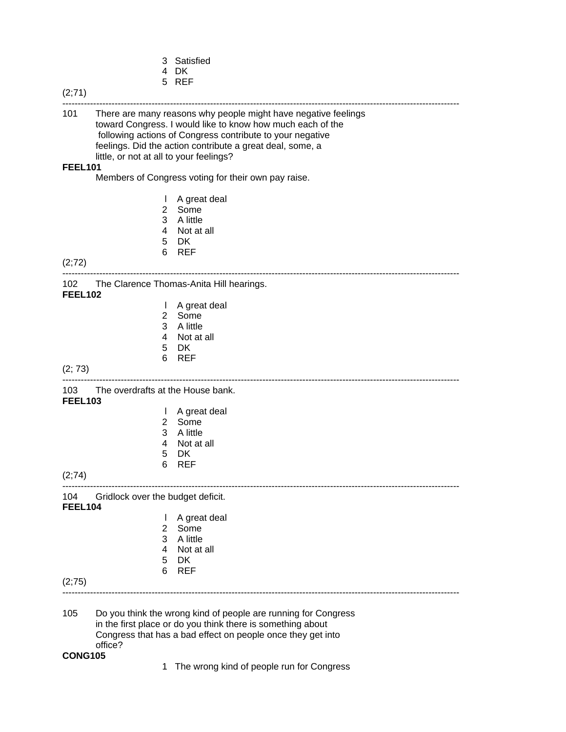- 3 Satisfied
- 4 DK
- 5 REF

### (2;71) --------------------------------------------------------------------------------------------------------------------------------- 101 There are many reasons why people might have negative feelings toward Congress. I would like to know how much each of the following actions of Congress contribute to your negative feelings. Did the action contribute a great deal, some, a little, or not at all to your feelings? **FEEL101** Members of Congress voting for their own pay raise. l A great deal 2 Some 3 A little 4 Not at all 5 DK 6 REF (2;72) --------------------------------------------------------------------------------------------------------------------------------- 102 The Clarence Thomas-Anita Hill hearings. **FEEL102** l A great deal 2 Some 3 A little 4 Not at all 5 DK 6 REF (2; 73) --------------------------------------------------------------------------------------------------------------------------------- 103 The overdrafts at the House bank. **FEEL103** l A great deal 2 Some 3 A little 4 Not at all 5 DK 6 REF (2;74) --------------------------------------------------------------------------------------------------------------------------------- 104 Gridlock over the budget deficit. **FEEL104** l A great deal 2 Some 3 A little 4 Not at all 5 DK 6 REF (2;75) --------------------------------------------------------------------------------------------------------------------------------- 105 Do you think the wrong kind of people are running for Congress in the first place or do you think there is something about Congress that has a bad effect on people once they get into office? **CONG105**  1 The wrong kind of people run for Congress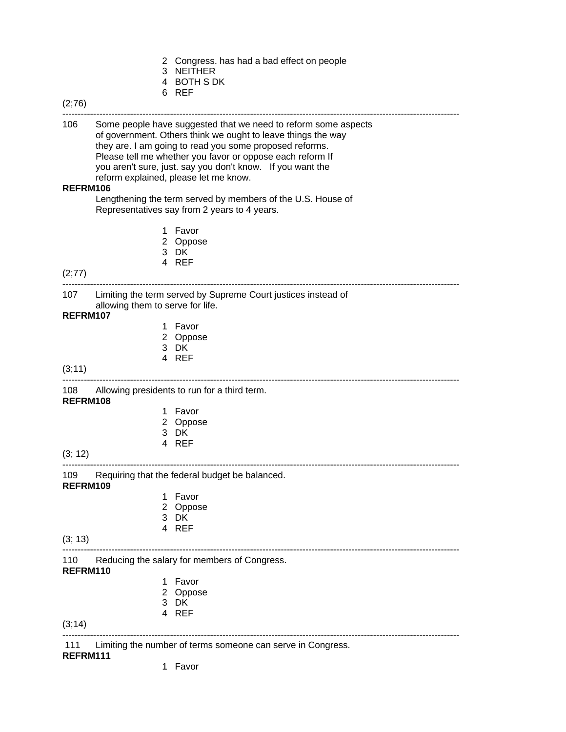|  | 2 Congress. has had a bad effect on people |  |  |  |
|--|--------------------------------------------|--|--|--|
|--|--------------------------------------------|--|--|--|

- 3 NEITHER
- 4 BOTH S DK
- 

|                  |                                  | 6 REF                                                                                                                                                                                                                                                                                                                                                         |
|------------------|----------------------------------|---------------------------------------------------------------------------------------------------------------------------------------------------------------------------------------------------------------------------------------------------------------------------------------------------------------------------------------------------------------|
| (2,76)           |                                  |                                                                                                                                                                                                                                                                                                                                                               |
| 106              |                                  | Some people have suggested that we need to reform some aspects<br>of government. Others think we ought to leave things the way<br>they are. I am going to read you some proposed reforms.<br>Please tell me whether you favor or oppose each reform If<br>you aren't sure, just. say you don't know. If you want the<br>reform explained, please let me know. |
| REFRM106         |                                  |                                                                                                                                                                                                                                                                                                                                                               |
|                  |                                  | Lengthening the term served by members of the U.S. House of<br>Representatives say from 2 years to 4 years.                                                                                                                                                                                                                                                   |
|                  |                                  | 1 Favor<br>2 Oppose<br>3 DK<br>4 REF                                                                                                                                                                                                                                                                                                                          |
| (2; 77)          |                                  |                                                                                                                                                                                                                                                                                                                                                               |
|                  | allowing them to serve for life. | 107 Limiting the term served by Supreme Court justices instead of                                                                                                                                                                                                                                                                                             |
| REFRM107         |                                  |                                                                                                                                                                                                                                                                                                                                                               |
|                  |                                  | 1 Favor<br>2 Oppose<br>3 DK                                                                                                                                                                                                                                                                                                                                   |
| (3, 11)          |                                  | 4 REF                                                                                                                                                                                                                                                                                                                                                         |
| REFRM108         |                                  | 108 Allowing presidents to run for a third term.                                                                                                                                                                                                                                                                                                              |
|                  | 1                                | Favor                                                                                                                                                                                                                                                                                                                                                         |
|                  |                                  | 2 Oppose                                                                                                                                                                                                                                                                                                                                                      |
|                  |                                  | 3 DK<br>4 REF                                                                                                                                                                                                                                                                                                                                                 |
| (3; 12)          |                                  |                                                                                                                                                                                                                                                                                                                                                               |
| 109.<br>REFRM109 |                                  | Requiring that the federal budget be balanced.                                                                                                                                                                                                                                                                                                                |
|                  |                                  | 1 Favor                                                                                                                                                                                                                                                                                                                                                       |
|                  |                                  | 2 Oppose                                                                                                                                                                                                                                                                                                                                                      |
|                  |                                  | 3 DK<br>4 REF                                                                                                                                                                                                                                                                                                                                                 |
| (3; 13)          |                                  |                                                                                                                                                                                                                                                                                                                                                               |
| 110<br>REFRM110  |                                  | Reducing the salary for members of Congress.                                                                                                                                                                                                                                                                                                                  |
|                  | 1                                | Favor                                                                                                                                                                                                                                                                                                                                                         |
|                  | 2                                | Oppose                                                                                                                                                                                                                                                                                                                                                        |
|                  |                                  | 3 DK<br>4 REF                                                                                                                                                                                                                                                                                                                                                 |
|                  |                                  |                                                                                                                                                                                                                                                                                                                                                               |

(3;14)

111 Limiting the number of terms someone can serve in Congress.

---------------------------------------------------------------------------------------------------------------------------------

# **REFRM111**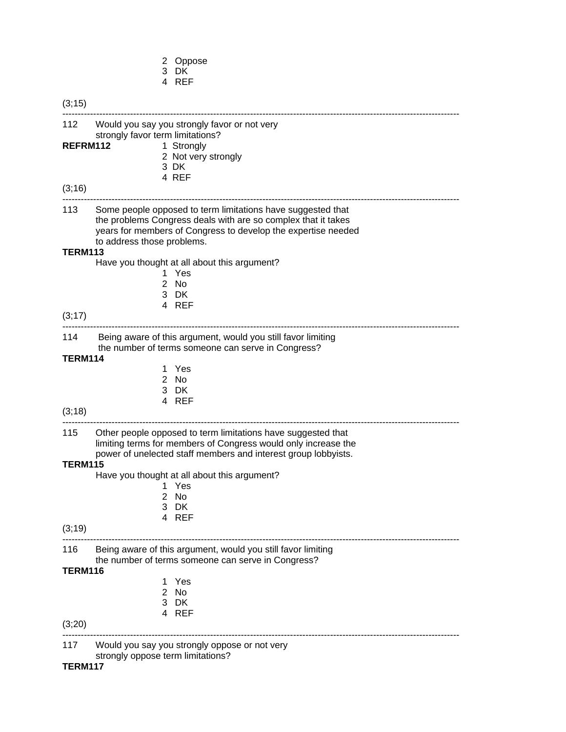- 2 Oppose
- 3 DK
- 4 REF

(3;15) --------------------------------------------------------------------------------------------------------------------------------- 112 Would you say you strongly favor or not very strongly favor term limitations? REFRM112 1 Strongly 2 Not very strongly 3 DK 4 REF (3;16) --------------------------------------------------------------------------------------------------------------------------------- 113 Some people opposed to term limitations have suggested that the problems Congress deals with are so complex that it takes years for members of Congress to develop the expertise needed to address those problems. **TERM113** Have you thought at all about this argument? 1 Yes 2 No 3 DK 4 REF (3;17) --------------------------------------------------------------------------------------------------------------------------------- 114 Being aware of this argument, would you still favor limiting the number of terms someone can serve in Congress? **TERM114**  1 Yes 2 No 3 DK 4 REF (3;18) --------------------------------------------------------------------------------------------------------------------------------- 115 Other people opposed to term limitations have suggested that limiting terms for members of Congress would only increase the power of unelected staff members and interest group lobbyists. **TERM115** Have you thought at all about this argument? 1 Yes 2 No 3 DK 4 REF (3;19) --------------------------------------------------------------------------------------------------------------------------------- 116 Being aware of this argument, would you still favor limiting the number of terms someone can serve in Congress? **TERM116** 1 Yes 2 No 3 DK 4 REF (3;20) --------------------------------------------------------------------------------------------------------------------------------- 117 Would you say you strongly oppose or not very strongly oppose term limitations? **TERM117**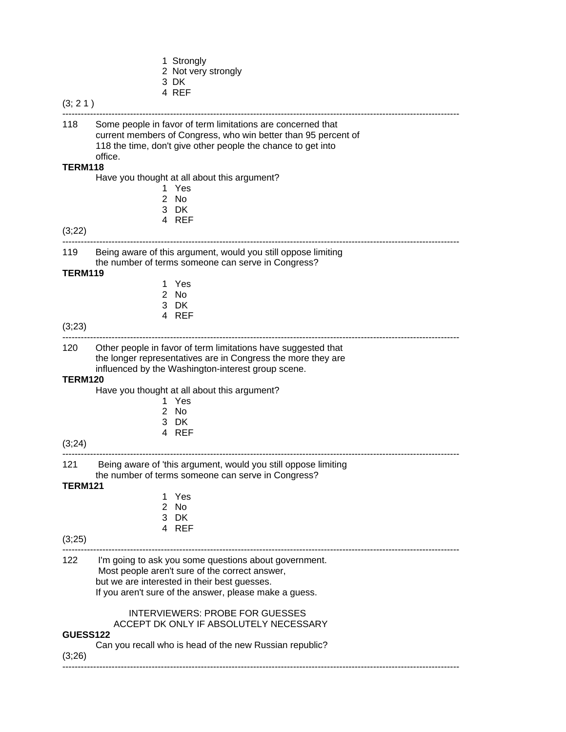- 1 Strongly
- 2 Not very strongly
- 3 DK
- 4 REF

| .ר |  |
|----|--|
|----|--|

--------------------------------------------------------------------------------------------------------------------------------- 118 Some people in favor of term limitations are concerned that current members of Congress, who win better than 95 percent of 118 the time, don't give other people the chance to get into office. **TERM118** Have you thought at all about this argument? 1 Yes 2 No 3 DK 4 REF (3;22) --------------------------------------------------------------------------------------------------------------------------------- 119 Being aware of this argument, would you still oppose limiting the number of terms someone can serve in Congress? **TERM119** 1 Yes 2 No 3 DK 4 REF (3;23) --------------------------------------------------------------------------------------------------------------------------------- 120 Other people in favor of term limitations have suggested that the longer representatives are in Congress the more they are influenced by the Washington-interest group scene. **TERM120** Have you thought at all about this argument? 1 Yes 2 No 3 DK 4 REF (3;24) --------------------------------------------------------------------------------------------------------------------------------- 121 Being aware of 'this argument, would you still oppose limiting the number of terms someone can serve in Congress? **TERM121** 1 Yes 2 No 3 DK 4 REF (3;25) --------------------------------------------------------------------------------------------------------------------------------- 122 I'm going to ask you some questions about government. Most people aren't sure of the correct answer, but we are interested in their best guesses. If you aren't sure of the answer, please make a guess. INTERVIEWERS: PROBE FOR GUESSES ACCEPT DK ONLY IF ABSOLUTELY NECESSARY **GUESS122** Can you recall who is head of the new Russian republic? (3;26) ---------------------------------------------------------------------------------------------------------------------------------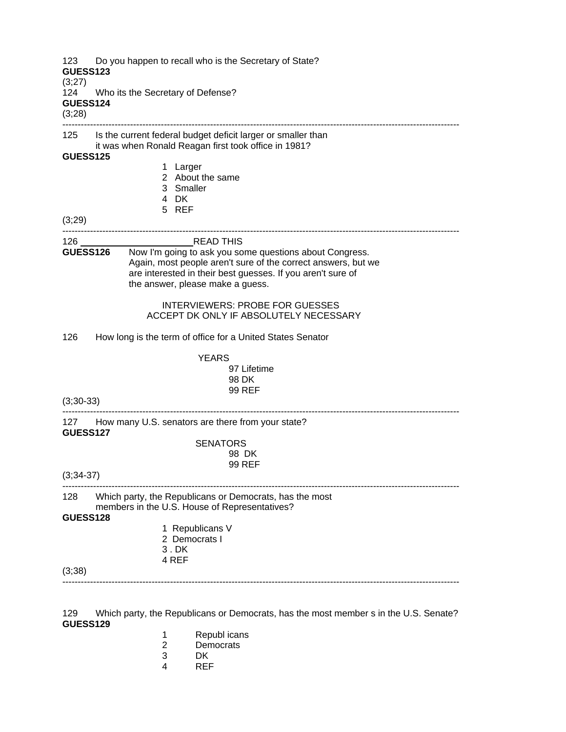| 123<br><b>GUESS123</b><br>(3;27) | Do you happen to recall who is the Secretary of State?                                                                                                                                                                                         |
|----------------------------------|------------------------------------------------------------------------------------------------------------------------------------------------------------------------------------------------------------------------------------------------|
| 124<br><b>GUESS124</b><br>(3;28) | Who its the Secretary of Defense?                                                                                                                                                                                                              |
|                                  | 125 Is the current federal budget deficit larger or smaller than<br>it was when Ronald Reagan first took office in 1981?                                                                                                                       |
| <b>GUESS125</b>                  | 1 Larger                                                                                                                                                                                                                                       |
|                                  | 2 About the same                                                                                                                                                                                                                               |
|                                  | 3 Smaller<br>4 DK                                                                                                                                                                                                                              |
|                                  | 5 REF                                                                                                                                                                                                                                          |
| (3;29)                           |                                                                                                                                                                                                                                                |
|                                  | <b>READ THIS</b>                                                                                                                                                                                                                               |
|                                  | Now I'm going to ask you some questions about Congress.<br><b>GUESS126</b><br>Again, most people aren't sure of the correct answers, but we<br>are interested in their best guesses. If you aren't sure of<br>the answer, please make a guess. |
|                                  | <b>INTERVIEWERS: PROBE FOR GUESSES</b><br>ACCEPT DK ONLY IF ABSOLUTELY NECESSARY                                                                                                                                                               |
| 126                              | How long is the term of office for a United States Senator                                                                                                                                                                                     |
|                                  | <b>YEARS</b>                                                                                                                                                                                                                                   |
|                                  | 97 Lifetime                                                                                                                                                                                                                                    |
|                                  | 98 DK<br><b>99 REF</b>                                                                                                                                                                                                                         |
| $(3;30-33)$                      |                                                                                                                                                                                                                                                |
| <b>GUESS127</b>                  | 127 How many U.S. senators are there from your state?                                                                                                                                                                                          |
|                                  | <b>SENATORS</b>                                                                                                                                                                                                                                |
|                                  | 98 DK                                                                                                                                                                                                                                          |
| $(3; 34-37)$                     | 99 REF                                                                                                                                                                                                                                         |
| 128                              | Which party, the Republicans or Democrats, has the most                                                                                                                                                                                        |
| GUESS128                         | members in the U.S. House of Representatives?                                                                                                                                                                                                  |
|                                  | 1 Republicans V                                                                                                                                                                                                                                |
|                                  | 2 Democrats I                                                                                                                                                                                                                                  |
|                                  | 3.DK<br>4 REF                                                                                                                                                                                                                                  |
| (3,38)                           |                                                                                                                                                                                                                                                |
|                                  |                                                                                                                                                                                                                                                |

129 Which party, the Republicans or Democrats, has the most member s in the U.S. Senate? **GUESS129**

- 1 Republicans<br>
2 Democrats<br>
3 DK<br>
4 REF
- **Democrats**
- DK
- REF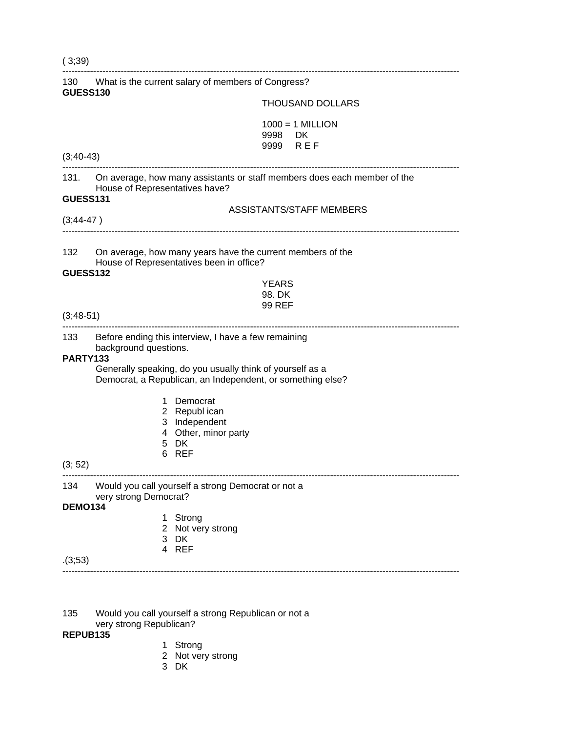| (3,39)                 |                                                                                                                                                                                                          |
|------------------------|----------------------------------------------------------------------------------------------------------------------------------------------------------------------------------------------------------|
| <b>GUESS130</b>        | 130 What is the current salary of members of Congress?                                                                                                                                                   |
|                        | <b>THOUSAND DOLLARS</b>                                                                                                                                                                                  |
|                        | $1000 = 1$ MILLION<br>9998<br>DK.<br>9999 REF                                                                                                                                                            |
| $(3, 40-43)$           | ----------------------------------                                                                                                                                                                       |
| <b>GUESS131</b>        | 131. On average, how many assistants or staff members does each member of the<br>House of Representatives have?                                                                                          |
| $(3, 44-47)$           | <b>ASSISTANTS/STAFF MEMBERS</b>                                                                                                                                                                          |
| 132<br><b>GUESS132</b> | On average, how many years have the current members of the<br>House of Representatives been in office?                                                                                                   |
|                        | <b>YEARS</b><br>98. DK<br>99 REF                                                                                                                                                                         |
| $(3, 48 - 51)$         |                                                                                                                                                                                                          |
| 133<br><b>PARTY133</b> | Before ending this interview, I have a few remaining<br>background questions.<br>Generally speaking, do you usually think of yourself as a<br>Democrat, a Republican, an Independent, or something else? |
| (3; 52)                | Democrat<br>1.<br>2 Republ ican<br>3 Independent<br>4 Other, minor party<br>5 DK<br><b>REF</b><br>6                                                                                                      |
|                        | 134 Would you call yourself a strong Democrat or not a                                                                                                                                                   |
| <b>DEMO134</b>         | very strong Democrat?                                                                                                                                                                                    |
|                        | Strong<br>1.<br>2 Not very strong<br>3 DK<br>4 REF                                                                                                                                                       |
| (3,53)                 |                                                                                                                                                                                                          |
|                        |                                                                                                                                                                                                          |

135 Would you call yourself a strong Republican or not a

very strong Republican?

#### **REPUB135**

- 1 Strong 1 Strong
- 2 Not very strong
- 3 DK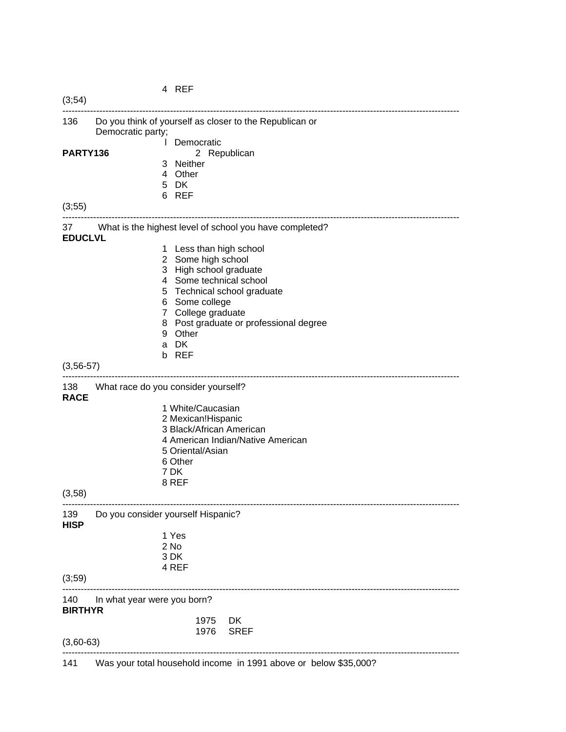|                       |                                                                              | 4 REF                                        |                                                         |
|-----------------------|------------------------------------------------------------------------------|----------------------------------------------|---------------------------------------------------------|
| (3,54)                |                                                                              |                                              |                                                         |
| 136                   | Do you think of yourself as closer to the Republican or<br>Democratic party; |                                              |                                                         |
|                       |                                                                              | Democratic                                   |                                                         |
| PARTY136              |                                                                              | 3 Neither                                    | 2 Republican                                            |
|                       |                                                                              | 4 Other                                      |                                                         |
|                       |                                                                              | 5 DK                                         |                                                         |
|                       |                                                                              | 6 REF                                        |                                                         |
| (3,55)                |                                                                              |                                              |                                                         |
| 37<br><b>EDUCLVL</b>  |                                                                              |                                              | What is the highest level of school you have completed? |
|                       |                                                                              | 1 Less than high school                      |                                                         |
|                       |                                                                              | 2 Some high school<br>3 High school graduate |                                                         |
|                       |                                                                              | 4 Some technical school                      |                                                         |
|                       |                                                                              |                                              | 5 Technical school graduate                             |
|                       |                                                                              | 6 Some college                               |                                                         |
|                       |                                                                              | 7 College graduate                           |                                                         |
|                       |                                                                              | 9 Other                                      | 8 Post graduate or professional degree                  |
|                       |                                                                              | a DK                                         |                                                         |
|                       |                                                                              | b REF                                        |                                                         |
| $(3, 56 - 57)$        |                                                                              |                                              |                                                         |
| 138<br><b>RACE</b>    | What race do you consider yourself?                                          |                                              |                                                         |
|                       |                                                                              | 1 White/Caucasian                            |                                                         |
|                       |                                                                              | 2 Mexican!Hispanic                           |                                                         |
|                       |                                                                              | 3 Black/African American                     |                                                         |
|                       |                                                                              |                                              | 4 American Indian/Native American                       |
|                       |                                                                              | 5 Oriental/Asian<br>6 Other                  |                                                         |
|                       |                                                                              | 7 DK                                         |                                                         |
|                       |                                                                              | 8 REF                                        |                                                         |
| (3,58)                |                                                                              |                                              |                                                         |
| 139<br><b>HISP</b>    | Do you consider yourself Hispanic?                                           |                                              |                                                         |
|                       |                                                                              | 1 Yes                                        |                                                         |
|                       |                                                                              | 2 No                                         |                                                         |
|                       |                                                                              | 3 DK                                         |                                                         |
| (3;59)                |                                                                              | 4 REF                                        |                                                         |
|                       |                                                                              |                                              |                                                         |
| 140<br><b>BIRTHYR</b> | In what year were you born?                                                  |                                              |                                                         |
|                       |                                                                              | 1975                                         | DK                                                      |
| $(3,60-63)$           |                                                                              | 1976                                         | <b>SREF</b>                                             |
|                       |                                                                              |                                              |                                                         |

141 Was your total household income in 1991 above or below \$35,000?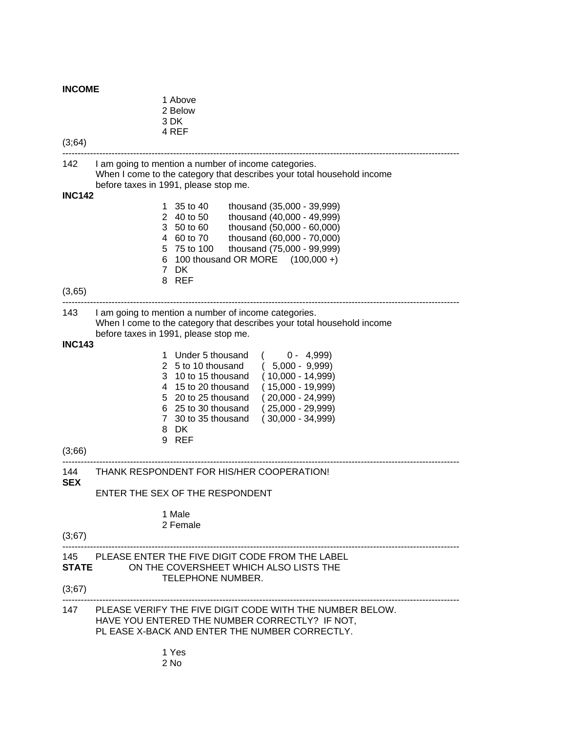# **INCOME**

| (3;64)                  | 1 Above<br>2 Below<br>3 DK<br>4 REF                                                                                                                                                                                                                                                                                                    |  |  |  |
|-------------------------|----------------------------------------------------------------------------------------------------------------------------------------------------------------------------------------------------------------------------------------------------------------------------------------------------------------------------------------|--|--|--|
| 142                     | I am going to mention a number of income categories.<br>When I come to the category that describes your total household income<br>before taxes in 1991, please stop me.                                                                                                                                                                |  |  |  |
| <b>INC142</b>           | 1 35 to 40<br>thousand (35,000 - 39,999)<br>2 40 to 50<br>thousand (40,000 - 49,999)<br>3 50 to 60<br>thousand (50,000 - 60,000)<br>4 60 to 70<br>thousand (60,000 - 70,000)<br>5 75 to 100<br>thousand (75,000 - 99,999)<br>6 100 thousand OR MORE (100,000 +)<br>7 DK<br>8 REF                                                       |  |  |  |
| (3,65)                  |                                                                                                                                                                                                                                                                                                                                        |  |  |  |
| 143                     | I am going to mention a number of income categories.<br>When I come to the category that describes your total household income<br>before taxes in 1991, please stop me.                                                                                                                                                                |  |  |  |
| <b>INC143</b><br>(3;66) | 1 Under 5 thousand<br>$0 - 4,999$<br>2 5 to 10 thousand<br>$(5,000 - 9,999)$<br>10 to 15 thousand<br>$(10,000 - 14,999)$<br>3<br>$(15,000 - 19,999)$<br>4 15 to 20 thousand<br>5 20 to 25 thousand<br>$(20,000 - 24,999)$<br>6 25 to 30 thousand<br>$(25,000 - 29,999)$<br>7 30 to 35 thousand<br>$(30,000 - 34,999)$<br>8 DK<br>9 REF |  |  |  |
| 144<br>SEX              | THANK RESPONDENT FOR HIS/HER COOPERATION!                                                                                                                                                                                                                                                                                              |  |  |  |
|                         | ENTER THE SEX OF THE RESPONDENT                                                                                                                                                                                                                                                                                                        |  |  |  |
| (3;67)                  | 1 Male<br>2 Female                                                                                                                                                                                                                                                                                                                     |  |  |  |
| (3;67)                  | 145 PLEASE ENTER THE FIVE DIGIT CODE FROM THE LABEL<br><b>STATE</b><br>ON THE COVERSHEET WHICH ALSO LISTS THE<br><b>TELEPHONE NUMBER.</b>                                                                                                                                                                                              |  |  |  |
|                         | 147 PLEASE VERIFY THE FIVE DIGIT CODE WITH THE NUMBER BELOW.<br>HAVE YOU ENTERED THE NUMBER CORRECTLY? IF NOT,<br>PL EASE X-BACK AND ENTER THE NUMBER CORRECTLY.                                                                                                                                                                       |  |  |  |
|                         | 1 Yes                                                                                                                                                                                                                                                                                                                                  |  |  |  |

2 No